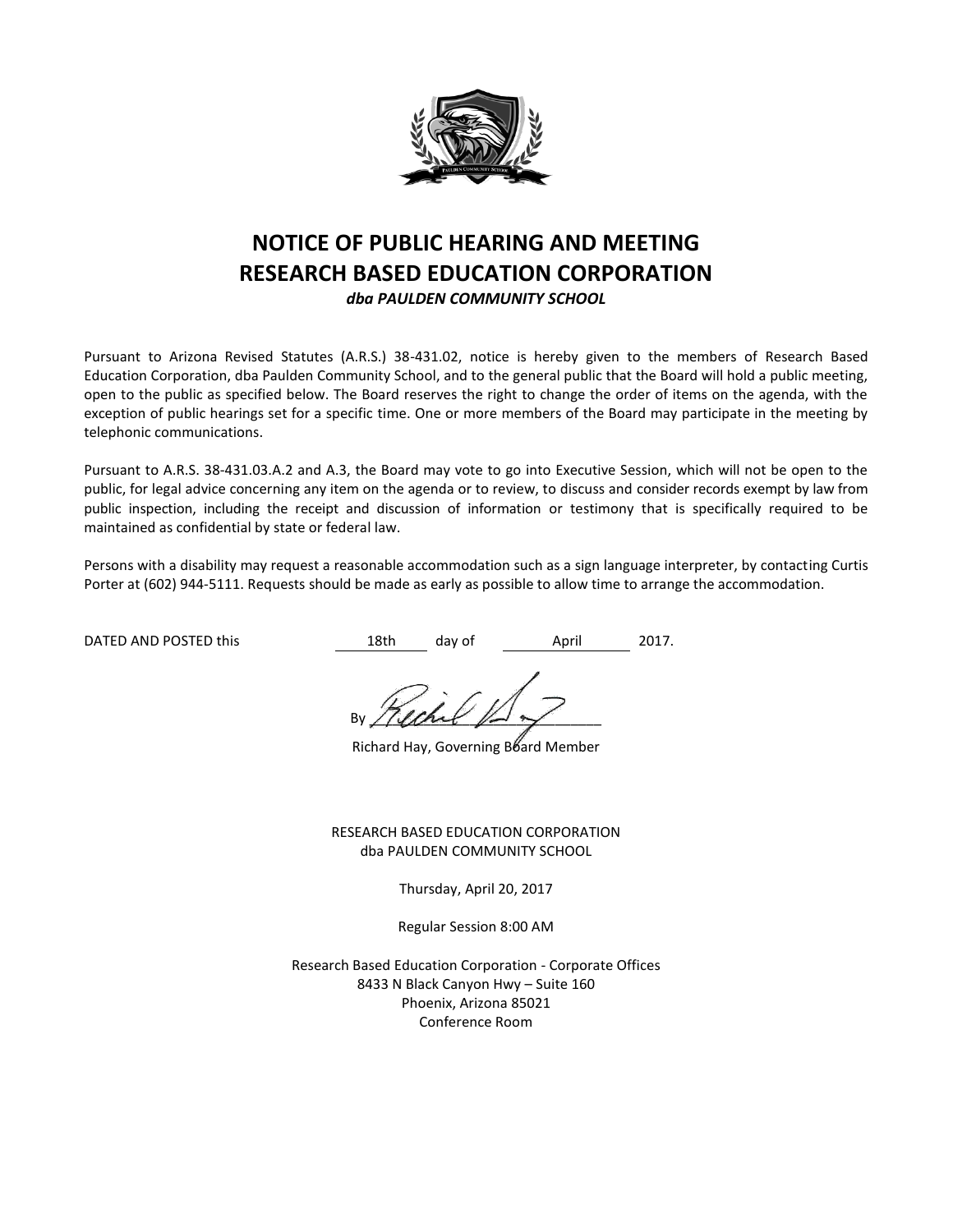

# **NOTICE OF PUBLIC HEARING AND MEETING RESEARCH BASED EDUCATION CORPORATION**

*dba PAULDEN COMMUNITY SCHOOL*

Pursuant to Arizona Revised Statutes (A.R.S.) 38-431.02, notice is hereby given to the members of Research Based Education Corporation, dba Paulden Community School, and to the general public that the Board will hold a public meeting, open to the public as specified below. The Board reserves the right to change the order of items on the agenda, with the exception of public hearings set for a specific time. One or more members of the Board may participate in the meeting by telephonic communications.

Pursuant to A.R.S. 38-431.03.A.2 and A.3, the Board may vote to go into Executive Session, which will not be open to the public, for legal advice concerning any item on the agenda or to review, to discuss and consider records exempt by law from public inspection, including the receipt and discussion of information or testimony that is specifically required to be maintained as confidential by state or federal law.

Persons with a disability may request a reasonable accommodation such as a sign language interpreter, by contacting Curtis Porter at (602) 944-5111. Requests should be made as early as possible to allow time to arrange the accommodation.

DATED AND POSTED this this the 18th day of April 2017.

By / (land  $\mathbb{R}$ 

Richard Hay, Governing Board Member

RESEARCH BASED EDUCATION CORPORATION dba PAULDEN COMMUNITY SCHOOL

Thursday, April 20, 2017

Regular Session 8:00 AM

Research Based Education Corporation - Corporate Offices 8433 N Black Canyon Hwy – Suite 160 Phoenix, Arizona 85021 Conference Room